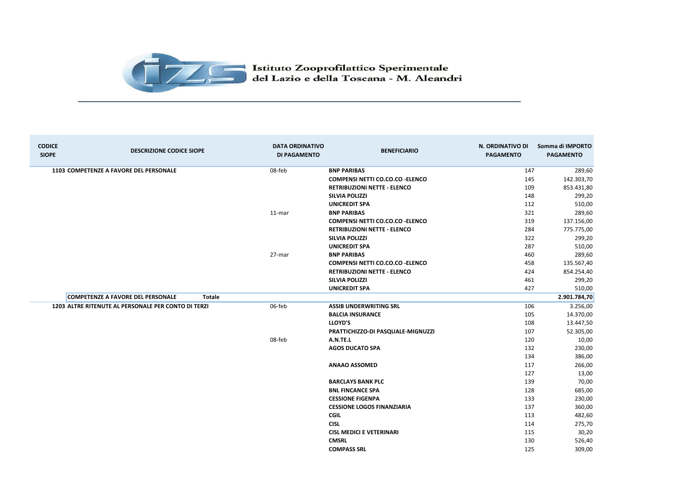

| <b>CODICE</b><br><b>SIOPE</b> | <b>DESCRIZIONE CODICE SIOPE</b>                     |               | <b>DATA ORDINATIVO</b><br><b>DI PAGAMENTO</b> | <b>BENEFICIARIO</b>                     | N. ORDINATIVO DI<br><b>PAGAMENTO</b> | Somma di IMPORTO<br><b>PAGAMENTO</b> |
|-------------------------------|-----------------------------------------------------|---------------|-----------------------------------------------|-----------------------------------------|--------------------------------------|--------------------------------------|
|                               | 1103 COMPETENZE A FAVORE DEL PERSONALE              | 08-feb        |                                               | <b>BNP PARIBAS</b>                      | 147                                  | 289,60                               |
|                               |                                                     |               |                                               | <b>COMPENSI NETTI CO.CO.CO - ELENCO</b> | 145                                  | 142.303,70                           |
|                               |                                                     |               |                                               | <b>RETRIBUZIONI NETTE - ELENCO</b>      | 109                                  | 853.431,80                           |
|                               |                                                     |               |                                               | <b>SILVIA POLIZZI</b>                   | 148                                  | 299,20                               |
|                               |                                                     |               |                                               | <b>UNICREDIT SPA</b>                    | 112                                  | 510,00                               |
|                               |                                                     | 11-mar        |                                               | <b>BNP PARIBAS</b>                      | 321                                  | 289,60                               |
|                               |                                                     |               |                                               | <b>COMPENSI NETTI CO.CO.CO - ELENCO</b> | 319                                  | 137.156,00                           |
|                               |                                                     |               |                                               | <b>RETRIBUZIONI NETTE - ELENCO</b>      | 284                                  | 775.775,00                           |
|                               |                                                     |               |                                               | <b>SILVIA POLIZZI</b>                   | 322                                  | 299,20                               |
|                               |                                                     |               |                                               | <b>UNICREDIT SPA</b>                    | 287                                  | 510,00                               |
|                               |                                                     | 27-mar        |                                               | <b>BNP PARIBAS</b>                      | 460                                  | 289,60                               |
|                               |                                                     |               |                                               | <b>COMPENSI NETTI CO.CO.CO - ELENCO</b> | 458                                  | 135.567,40                           |
|                               |                                                     |               |                                               | <b>RETRIBUZIONI NETTE - ELENCO</b>      | 424                                  | 854.254,40                           |
|                               |                                                     |               |                                               | <b>SILVIA POLIZZI</b>                   | 461                                  | 299,20                               |
|                               |                                                     |               |                                               | <b>UNICREDIT SPA</b>                    | 427                                  | 510,00                               |
|                               | <b>COMPETENZE A FAVORE DEL PERSONALE</b>            | <b>Totale</b> |                                               |                                         |                                      | 2.901.784,70                         |
|                               | 1203 ALTRE RITENUTE AL PERSONALE PER CONTO DI TERZI | 06-feb        |                                               | <b>ASSIB UNDERWRITING SRL</b>           | 106                                  | 3.256,00                             |
|                               |                                                     |               |                                               | <b>BALCIA INSURANCE</b>                 | 105                                  | 14.370,00                            |
|                               |                                                     |               |                                               | <b>LLOYD'S</b>                          | 108                                  | 13.447,50                            |
|                               |                                                     |               |                                               | PRATTICHIZZO-DI PASQUALE-MIGNUZZI       | 107                                  | 52.305,00                            |
|                               |                                                     | 08-feb        |                                               | A.N.TE.L                                | 120                                  | 10,00                                |
|                               |                                                     |               |                                               | <b>AGOS DUCATO SPA</b>                  | 132                                  | 230,00                               |
|                               |                                                     |               |                                               |                                         | 134                                  | 386,00                               |
|                               |                                                     |               |                                               | <b>ANAAO ASSOMED</b>                    | 117                                  | 266,00                               |
|                               |                                                     |               |                                               |                                         | 127                                  | 13,00                                |
|                               |                                                     |               |                                               | <b>BARCLAYS BANK PLC</b>                | 139                                  | 70,00                                |
|                               |                                                     |               |                                               | <b>BNL FINCANCE SPA</b>                 | 128                                  | 685,00                               |
|                               |                                                     |               |                                               | <b>CESSIONE FIGENPA</b>                 | 133                                  | 230,00                               |
|                               |                                                     |               |                                               | <b>CESSIONE LOGOS FINANZIARIA</b>       | 137                                  | 360,00                               |
|                               |                                                     |               |                                               | <b>CGIL</b>                             | 113                                  | 482,60                               |
|                               |                                                     |               |                                               | <b>CISL</b>                             | 114                                  | 275,70                               |
|                               |                                                     |               |                                               | <b>CISL MEDICI E VETERINARI</b>         | 115                                  | 30,20                                |
|                               |                                                     |               |                                               | <b>CMSRL</b>                            | 130                                  | 526,40                               |
|                               |                                                     |               |                                               | <b>COMPASS SRL</b>                      | 125                                  | 309,00                               |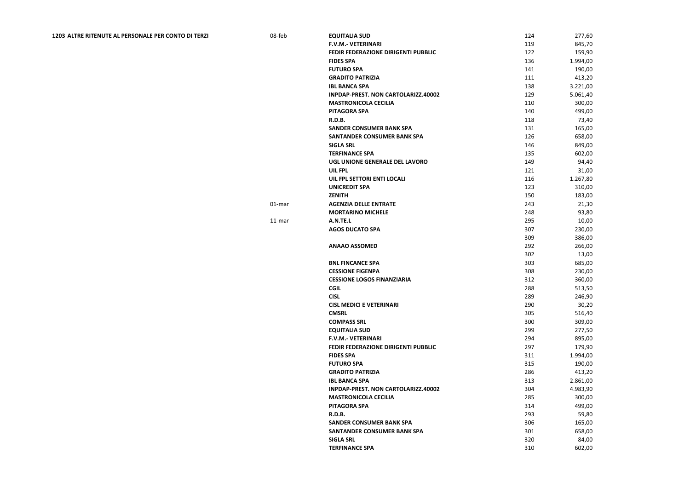## **1203 ALTRE RITENUTE AL PERSONALE PER CONTO DI TERZI <b>1203** ALTRE RITENUTE AL PERSONALE PER CONTO DI TERZI

| 08-feb | <b>EQUITALIA SUD</b>                | 124 | 277,60   |
|--------|-------------------------------------|-----|----------|
|        | <b>F.V.M.- VETERINARI</b>           | 119 | 845,70   |
|        | FEDIR FEDERAZIONE DIRIGENTI PUBBLIC | 122 | 159,90   |
|        | <b>FIDES SPA</b>                    | 136 | 1.994,00 |
|        | <b>FUTURO SPA</b>                   | 141 | 190,00   |
|        | <b>GRADITO PATRIZIA</b>             | 111 | 413,20   |
|        | <b>IBL BANCA SPA</b>                | 138 | 3.221,00 |
|        | INPDAP-PREST. NON CARTOLARIZZ.40002 | 129 | 5.061,40 |
|        | <b>MASTRONICOLA CECILIA</b>         | 110 | 300,00   |
|        | <b>PITAGORA SPA</b>                 | 140 | 499,00   |
|        | <b>R.D.B.</b>                       | 118 | 73,40    |
|        | <b>SANDER CONSUMER BANK SPA</b>     | 131 | 165,00   |
|        | <b>SANTANDER CONSUMER BANK SPA</b>  | 126 | 658,00   |
|        | <b>SIGLA SRL</b>                    | 146 | 849,00   |
|        | <b>TERFINANCE SPA</b>               | 135 | 602,00   |
|        | UGL UNIONE GENERALE DEL LAVORO      | 149 | 94,40    |
|        | <b>UIL FPL</b>                      | 121 | 31,00    |
|        | UIL FPL SETTORI ENTI LOCALI         | 116 | 1.267,80 |
|        | <b>UNICREDIT SPA</b>                | 123 | 310,00   |
|        | <b>ZENITH</b>                       | 150 | 183,00   |
| 01-mar | <b>AGENZIA DELLE ENTRATE</b>        | 243 | 21,30    |
|        | <b>MORTARINO MICHELE</b>            | 248 | 93,80    |
| 11-mar | A.N.TE.L                            | 295 | 10,00    |
|        | <b>AGOS DUCATO SPA</b>              | 307 | 230,00   |
|        |                                     | 309 | 386,00   |
|        | <b>ANAAO ASSOMED</b>                | 292 | 266,00   |
|        |                                     | 302 | 13,00    |
|        | <b>BNL FINCANCE SPA</b>             | 303 | 685,00   |
|        | <b>CESSIONE FIGENPA</b>             | 308 | 230,00   |
|        | <b>CESSIONE LOGOS FINANZIARIA</b>   | 312 | 360,00   |
|        | <b>CGIL</b>                         | 288 | 513,50   |
|        | <b>CISL</b>                         | 289 | 246,90   |
|        | <b>CISL MEDICI E VETERINARI</b>     | 290 | 30,20    |
|        | <b>CMSRL</b>                        | 305 | 516,40   |
|        | <b>COMPASS SRL</b>                  | 300 | 309,00   |
|        | <b>EQUITALIA SUD</b>                | 299 | 277,50   |
|        | <b>F.V.M.- VETERINARI</b>           | 294 | 895,00   |
|        | FEDIR FEDERAZIONE DIRIGENTI PUBBLIC | 297 | 179,90   |
|        | <b>FIDES SPA</b>                    | 311 | 1.994,00 |
|        | <b>FUTURO SPA</b>                   | 315 | 190,00   |
|        | <b>GRADITO PATRIZIA</b>             | 286 | 413,20   |
|        | <b>IBL BANCA SPA</b>                | 313 | 2.861,00 |
|        | INPDAP-PREST. NON CARTOLARIZZ.40002 | 304 | 4.983,90 |
|        | <b>MASTRONICOLA CECILIA</b>         | 285 | 300,00   |
|        | <b>PITAGORA SPA</b>                 | 314 | 499,00   |
|        | <b>R.D.B.</b>                       | 293 | 59,80    |
|        | <b>SANDER CONSUMER BANK SPA</b>     | 306 | 165,00   |
|        | <b>SANTANDER CONSUMER BANK SPA</b>  | 301 | 658,00   |
|        | <b>SIGLA SRL</b>                    | 320 | 84,00    |
|        | <b>TERFINANCE SPA</b>               | 310 | 602,00   |
|        |                                     |     |          |

| 124 | 277,60           |
|-----|------------------|
| 119 | 845,70           |
| 122 | 159,90           |
| 136 | 1.994,00         |
| 141 | 190,00           |
| 111 | 413,20           |
| 138 | 3.221,00         |
| 129 | 5.061,40         |
| 110 | 300,00           |
| 140 | 499,00           |
| 118 | 73,40            |
| 131 | 165,00           |
| 126 | 658,00           |
| 146 | 849,00           |
| 135 | 602,00           |
| 149 | 94,40            |
| 121 | 31,00            |
| 116 | 1.267,80         |
| 123 |                  |
| 150 | 310,00<br>183,00 |
|     |                  |
| 243 | 21,30            |
| 248 | 93,80            |
| 295 | 10,00            |
| 307 | 230,00           |
| 309 | 386,00           |
| 292 | 266,00           |
| 302 | 13,00            |
| 303 | 685,00           |
| 308 | 230,00           |
| 312 | 360,00           |
| 288 | 513,50           |
| 289 | 246,90           |
| 290 | 30,20            |
| 305 | 516,40           |
| 300 | 309,00           |
| 299 | 277,50           |
| 294 | 895,00           |
| 297 | 179,90           |
| 311 | 1.994,00         |
| 315 | 190,00           |
| 286 | 413,20           |
| 313 | 2.861,00         |
| 304 | 4.983,90         |
| 285 | 300,00           |
| 314 | 499,00           |
| 293 | 59,80            |
| 306 | 165,00           |
| 301 | 658,00           |
| 320 | 84,00            |
| 310 | 602,00           |
|     |                  |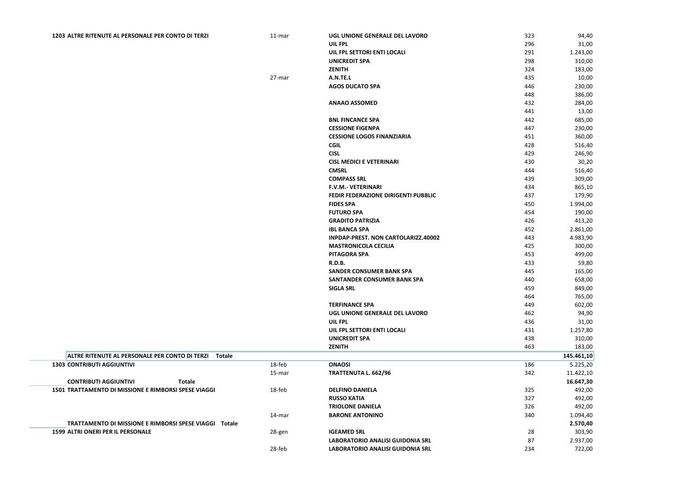| 323 | 94,40                  |
|-----|------------------------|
| 296 | 31,00                  |
| 291 | 1.243,00               |
| 298 | 310,00                 |
| 324 | 183,00                 |
| 435 | 10,00                  |
| 446 | 230,00                 |
| 448 | 386,00                 |
| 432 | 284,00                 |
| 441 | 13,00                  |
| 442 | 685,00                 |
| 447 | 230,00                 |
| 451 | 360,00                 |
| 428 | 516,40                 |
| 429 | 246,90                 |
| 430 | 30,20                  |
| 444 | 516,40                 |
| 439 | 309,00                 |
| 434 | 865,10                 |
| 437 | 179,90                 |
| 450 | 1.994,00               |
| 454 | 190,00                 |
| 426 | 413,20                 |
| 452 | 2.861,00               |
| 443 | 4.983,90               |
| 425 | 300,00                 |
| 453 | 499,00                 |
| 433 | 59,80                  |
| 445 | 165,00                 |
| 440 | 658,00                 |
| 459 | 849,00                 |
| 464 | 765,00                 |
| 449 | 602,00                 |
| 462 | 94,90                  |
| 436 | 31,00                  |
| 431 | 1.257,80               |
| 438 | 310,00                 |
| 463 | 183,00                 |
|     | 145.461,10             |
| 186 | 5.225,20               |
| 342 | 11.422,10<br>16.647,30 |
| 325 | 492,00                 |
| 327 | 492,00                 |
| 326 | 492,00                 |
| 340 | 1.094,40               |
|     | 2.570,40               |
| 28  | 303,90                 |
| 87  | 2.937,00               |
| 234 | 722,00                 |
|     |                        |

| 1203 ALTRE RITENUTE AL PERSONALE PER CONTO DI TERZI |  |  |  |  |  |
|-----------------------------------------------------|--|--|--|--|--|
|-----------------------------------------------------|--|--|--|--|--|

| 1203 ALTRE RITENUTE AL PERSONALE PER CONTO DI TERZI   | 11-mar | UGL UNIONE GENERALE DEL LAVORO      | 323 | 94,40      |
|-------------------------------------------------------|--------|-------------------------------------|-----|------------|
|                                                       |        | UIL FPL                             | 296 | 31,00      |
|                                                       |        | UIL FPL SETTORI ENTI LOCALI         | 291 | 1.243,00   |
|                                                       |        | <b>UNICREDIT SPA</b>                | 298 | 310,00     |
|                                                       |        | <b>ZENITH</b>                       | 324 | 183,00     |
|                                                       | 27-mar | A.N.TE.L                            | 435 | 10,00      |
|                                                       |        | <b>AGOS DUCATO SPA</b>              | 446 | 230,00     |
|                                                       |        |                                     | 448 | 386,00     |
|                                                       |        | <b>ANAAO ASSOMED</b>                | 432 | 284,00     |
|                                                       |        |                                     | 441 | 13,00      |
|                                                       |        | <b>BNL FINCANCE SPA</b>             | 442 | 685,00     |
|                                                       |        | <b>CESSIONE FIGENPA</b>             | 447 | 230,00     |
|                                                       |        | <b>CESSIONE LOGOS FINANZIARIA</b>   | 451 | 360,00     |
|                                                       |        | <b>CGIL</b>                         | 428 | 516,40     |
|                                                       |        | <b>CISL</b>                         | 429 | 246,90     |
|                                                       |        | <b>CISL MEDICI E VETERINARI</b>     | 430 | 30,20      |
|                                                       |        | <b>CMSRL</b>                        | 444 | 516,40     |
|                                                       |        | <b>COMPASS SRL</b>                  | 439 | 309,00     |
|                                                       |        | F.V.M.- VETERINARI                  | 434 | 865,10     |
|                                                       |        | FEDIR FEDERAZIONE DIRIGENTI PUBBLIC | 437 | 179,90     |
|                                                       |        | <b>FIDES SPA</b>                    | 450 | 1.994,00   |
|                                                       |        | <b>FUTURO SPA</b>                   | 454 | 190,00     |
|                                                       |        | <b>GRADITO PATRIZIA</b>             | 426 | 413,20     |
|                                                       |        | <b>IBL BANCA SPA</b>                | 452 | 2.861,00   |
|                                                       |        | INPDAP-PREST. NON CARTOLARIZZ.40002 | 443 | 4.983,90   |
|                                                       |        | <b>MASTRONICOLA CECILIA</b>         | 425 | 300,00     |
|                                                       |        | <b>PITAGORA SPA</b>                 | 453 | 499,00     |
|                                                       |        | R.D.B.                              | 433 | 59,80      |
|                                                       |        | <b>SANDER CONSUMER BANK SPA</b>     | 445 | 165,00     |
|                                                       |        | <b>SANTANDER CONSUMER BANK SPA</b>  | 440 | 658,00     |
|                                                       |        | <b>SIGLA SRL</b>                    | 459 | 849,00     |
|                                                       |        |                                     | 464 | 765,00     |
|                                                       |        | <b>TERFINANCE SPA</b>               | 449 | 602,00     |
|                                                       |        | UGL UNIONE GENERALE DEL LAVORO      | 462 | 94,90      |
|                                                       |        | <b>UIL FPL</b>                      | 436 | 31,00      |
|                                                       |        | UIL FPL SETTORI ENTI LOCALI         | 431 | 1.257,80   |
|                                                       |        | <b>UNICREDIT SPA</b>                | 438 | 310,00     |
|                                                       |        | <b>ZENITH</b>                       | 463 | 183,00     |
| ALTRE RITENUTE AL PERSONALE PER CONTO DI TERZI Totale |        |                                     |     | 145.461,10 |
| <b>1303 CONTRIBUTI AGGIUNTIVI</b>                     | 18-feb | <b>ONAOSI</b>                       | 186 | 5.225,20   |
|                                                       | 15-mar | TRATTENUTA L. 662/96                | 342 | 11.422,10  |
| <b>CONTRIBUTI AGGIUNTIVI</b><br><b>Totale</b>         |        |                                     |     | 16.647,30  |
| 1501 TRATTAMENTO DI MISSIONE E RIMBORSI SPESE VIAGGI  | 18-feb | <b>DELFINO DANIELA</b>              | 325 | 492,00     |
|                                                       |        | <b>RUSSO KATIA</b>                  | 327 | 492,00     |

**TRATTAMENTO DI MISSIONE E RIMBORSI SPESE VIAGGI Totale 2.570,40 1599 ALTRI ONERI PER IL PERSONALE** 28-gen **1599 ALTRI ONERI PER IL PERSONALE** 

| 14-mar | <b>BARONE ANTONINO</b>           | 340 | 1.094,40 |
|--------|----------------------------------|-----|----------|
|        |                                  |     | 2.570,40 |
| 28-gen | <b>IGEAMED SRL</b>               | 28  | 303,90   |
|        | LABORATORIO ANALISI GUIDONIA SRL | -87 | 2.937,00 |
| 28-feb | LABORATORIO ANALISI GUIDONIA SRL | 234 | 722,00   |

**TRIOLONE DANIELA**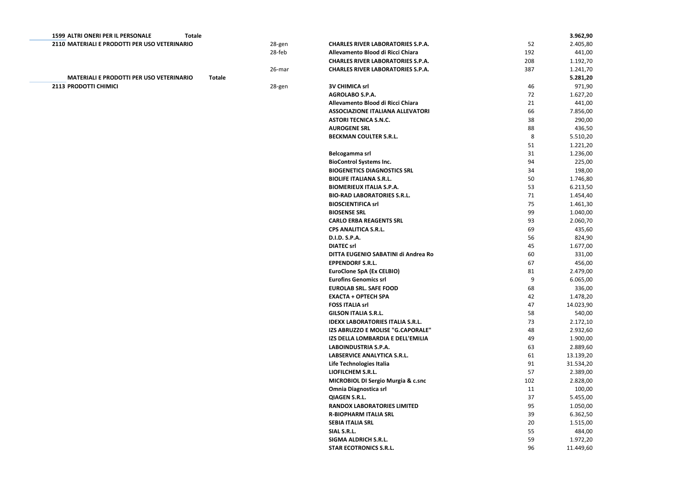|     | 3.962,90  |
|-----|-----------|
| 52  | 2.405,80  |
| 192 | 441,00    |
| 208 | 1.192,70  |
| 387 | 1.241,70  |
|     | 5.281,20  |
| 46  | 971,90    |
| 72  | 1.627,20  |
|     |           |
| 21  | 441,00    |
| 66  | 7.856,00  |
| 38  | 290,00    |
| 88  | 436,50    |
| 8   | 5.510,20  |
| 51  | 1.221,20  |
| 31  | 1.236,00  |
| 94  | 225,00    |
| 34  | 198,00    |
| 50  | 1.746,80  |
| 53  | 6.213,50  |
| 71  | 1.454,40  |
| 75  | 1.461,30  |
| 99  | 1.040,00  |
|     |           |
| 93  | 2.060,70  |
| 69  | 435,60    |
| 56  | 824,90    |
| 45  | 1.677,00  |
| 60  | 331,00    |
| 67  | 456,00    |
| 81  | 2.479,00  |
| 9   | 6.065,00  |
| 68  | 336,00    |
| 42  | 1.478,20  |
| 47  | 14.023,90 |
| 58  | 540,00    |
| 73  | 2.172,10  |
| 48  | 2.932,60  |
| 49  | 1.900,00  |
| 63  | 2.889,60  |
| 61  | 13.139,20 |
| 91  | 31.534,20 |
| 57  | 2.389,00  |
|     |           |
| 102 | 2.828,00  |
| 11  | 100,00    |
| 37  | 5.455,00  |
| 95  | 1.050,00  |
| 39  | 6.362,50  |
| 20  | 1.515,00  |
| 55  | 484,00    |
| 59  | 1.972,20  |
| 96  | 11.449,60 |
|     |           |

| <b>1599 ALTRI ONERI PER IL PERSONALE</b><br><b>Totale</b> |               |                                               |     | 3.962,90  |
|-----------------------------------------------------------|---------------|-----------------------------------------------|-----|-----------|
| 2110 MATERIALI E PRODOTTI PER USO VETERINARIO             | 28-gen        | <b>CHARLES RIVER LABORATORIES S.P.A.</b>      | 52  | 2.405,80  |
|                                                           | 28-feb        | Allevamento Blood di Ricci Chiara             | 192 | 441,00    |
|                                                           |               | <b>CHARLES RIVER LABORATORIES S.P.A.</b>      | 208 | 1.192,70  |
|                                                           | 26-mar        | <b>CHARLES RIVER LABORATORIES S.P.A.</b>      | 387 | 1.241,70  |
| <b>MATERIALI E PRODOTTI PER USO VETERINARIO</b>           | <b>Totale</b> |                                               |     | 5.281,20  |
| 2113 PRODOTTI CHIMICI                                     | 28-gen        | <b>3V CHIMICA srl</b>                         | 46  | 971,90    |
|                                                           |               | AGROLABO S.P.A.                               | 72  | 1.627,20  |
|                                                           |               | Allevamento Blood di Ricci Chiara             | 21  | 441,00    |
|                                                           |               | <b>ASSOCIAZIONE ITALIANA ALLEVATORI</b>       | 66  | 7.856,00  |
|                                                           |               | <b>ASTORI TECNICA S.N.C.</b>                  | 38  | 290,00    |
|                                                           |               | <b>AUROGENE SRL</b>                           | 88  | 436,50    |
|                                                           |               | <b>BECKMAN COULTER S.R.L.</b>                 | 8   | 5.510,20  |
|                                                           |               |                                               | 51  | 1.221,20  |
|                                                           |               | Belcogamma srl                                | 31  | 1.236,00  |
|                                                           |               | <b>BioControl Systems Inc.</b>                | 94  | 225,00    |
|                                                           |               | <b>BIOGENETICS DIAGNOSTICS SRL</b>            | 34  | 198,00    |
|                                                           |               | <b>BIOLIFE ITALIANA S.R.L.</b>                | 50  | 1.746,80  |
|                                                           |               | <b>BIOMERIEUX ITALIA S.P.A.</b>               | 53  | 6.213,50  |
|                                                           |               | <b>BIO-RAD LABORATORIES S.R.L.</b>            | 71  | 1.454,40  |
|                                                           |               | <b>BIOSCIENTIFICA srl</b>                     | 75  | 1.461,30  |
|                                                           |               | <b>BIOSENSE SRL</b>                           | 99  | 1.040,00  |
|                                                           |               | <b>CARLO ERBA REAGENTS SRL</b>                | 93  | 2.060,70  |
|                                                           |               | <b>CPS ANALITICA S.R.L.</b>                   | 69  | 435,60    |
|                                                           |               | D.I.D. S.P.A.                                 | 56  | 824,90    |
|                                                           |               | <b>DIATEC srl</b>                             | 45  | 1.677,00  |
|                                                           |               | DITTA EUGENIO SABATINI di Andrea Ro           | 60  | 331,00    |
|                                                           |               | <b>EPPENDORF S.R.L.</b>                       | 67  | 456,00    |
|                                                           |               | <b>EuroClone SpA (Ex CELBIO)</b>              | 81  | 2.479,00  |
|                                                           |               | <b>Eurofins Genomics srl</b>                  | 9   | 6.065,00  |
|                                                           |               | <b>EUROLAB SRL. SAFE FOOD</b>                 | 68  | 336,00    |
|                                                           |               | <b>EXACTA + OPTECH SPA</b>                    | 42  | 1.478,20  |
|                                                           |               | <b>FOSS ITALIA srl</b>                        | 47  | 14.023,90 |
|                                                           |               | <b>GILSON ITALIA S.R.L.</b>                   | 58  | 540,00    |
|                                                           |               | <b>IDEXX LABORATORIES ITALIA S.R.L.</b>       | 73  | 2.172,10  |
|                                                           |               | IZS ABRUZZO E MOLISE "G.CAPORALE"             | 48  | 2.932,60  |
|                                                           |               | IZS DELLA LOMBARDIA E DELL'EMILIA             | 49  | 1.900,00  |
|                                                           |               | <b>LABOINDUSTRIA S.P.A.</b>                   | 63  | 2.889,60  |
|                                                           |               | <b>LABSERVICE ANALYTICA S.R.L.</b>            | 61  | 13.139,20 |
|                                                           |               | Life Technologies Italia                      | 91  | 31.534,20 |
|                                                           |               | LIOFILCHEM S.R.L.                             | 57  | 2.389,00  |
|                                                           |               | <b>MICROBIOL DI Sergio Murgia &amp; c.snc</b> | 102 | 2.828,00  |
|                                                           |               | <b>Omnia Diagnostica srl</b>                  | 11  | 100,00    |
|                                                           |               | <b>QIAGEN S.R.L.</b>                          | 37  | 5.455,00  |
|                                                           |               | <b>RANDOX LABORATORIES LIMITED</b>            | 95  | 1.050,00  |
|                                                           |               | <b>R-BIOPHARM ITALIA SRL</b>                  | 39  | 6.362,50  |
|                                                           |               | <b>SEBIA ITALIA SRL</b>                       | 20  | 1.515,00  |
|                                                           |               | SIAL S.R.L.                                   | 55  | 484,00    |
|                                                           |               | <b>SIGMA ALDRICH S.R.L.</b>                   | 59  | 1.972,20  |
|                                                           |               | <b>STAR ECOTRONICS S.R.L.</b>                 | 96  | 11.449,60 |
|                                                           |               |                                               |     |           |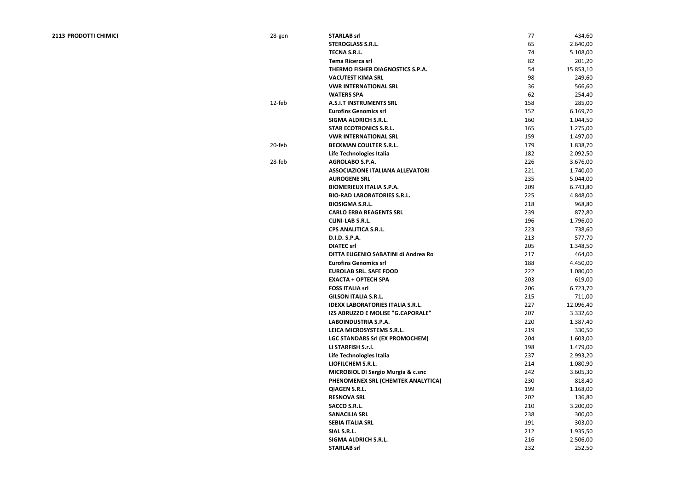| 2113 PRODOTTI CHIMICI | 28-gen | <b>STARLAB srl</b>                            | 77  | 434,60             |
|-----------------------|--------|-----------------------------------------------|-----|--------------------|
|                       |        | <b>STEROGLASS S.R.L.</b>                      | 65  | 2.640,00           |
|                       |        | <b>TECNA S.R.L.</b>                           | 74  | 5.108,00           |
|                       |        | <b>Tema Ricerca srl</b>                       | 82  | 201,20             |
|                       |        | THERMO FISHER DIAGNOSTICS S.P.A.              | 54  | 15.853,10          |
|                       |        | <b>VACUTEST KIMA SRL</b>                      | 98  | 249,60             |
|                       |        | <b>VWR INTERNATIONAL SRL</b>                  | 36  | 566,60             |
|                       |        | <b>WATERS SPA</b>                             | 62  | 254,40             |
|                       | 12-feb | <b>A.S.I.T INSTRUMENTS SRL</b>                | 158 | 285,00             |
|                       |        | <b>Eurofins Genomics srl</b>                  | 152 | 6.169,70           |
|                       |        | <b>SIGMA ALDRICH S.R.L.</b>                   | 160 | 1.044,50           |
|                       |        | <b>STAR ECOTRONICS S.R.L.</b>                 | 165 | 1.275,00           |
|                       |        | <b>VWR INTERNATIONAL SRL</b>                  | 159 | 1.497,00           |
|                       | 20-feb | <b>BECKMAN COULTER S.R.L.</b>                 | 179 | 1.838,70           |
|                       |        | Life Technologies Italia                      | 182 | 2.092,50           |
|                       | 28-feb | <b>AGROLABO S.P.A.</b>                        | 226 | 3.676,00           |
|                       |        | <b>ASSOCIAZIONE ITALIANA ALLEVATORI</b>       | 221 | 1.740,00           |
|                       |        | <b>AUROGENE SRL</b>                           | 235 | 5.044,00           |
|                       |        | <b>BIOMERIEUX ITALIA S.P.A.</b>               | 209 | 6.743,80           |
|                       |        | <b>BIO-RAD LABORATORIES S.R.L.</b>            | 225 | 4.848,00           |
|                       |        | <b>BIOSIGMA S.R.L.</b>                        | 218 | 968,80             |
|                       |        | <b>CARLO ERBA REAGENTS SRL</b>                | 239 | 872,80             |
|                       |        | <b>CLINI-LAB S.R.L.</b>                       | 196 | 1.796,00           |
|                       |        | <b>CPS ANALITICA S.R.L.</b>                   | 223 | 738,60             |
|                       |        | D.I.D. S.P.A.                                 | 213 | 577,70             |
|                       |        | <b>DIATEC srl</b>                             | 205 | 1.348,50           |
|                       |        | DITTA EUGENIO SABATINI di Andrea Ro           | 217 |                    |
|                       |        | <b>Eurofins Genomics srl</b>                  | 188 | 464,00<br>4.450,00 |
|                       |        | <b>EUROLAB SRL. SAFE FOOD</b>                 | 222 |                    |
|                       |        | <b>EXACTA + OPTECH SPA</b>                    | 203 | 1.080,00           |
|                       |        |                                               |     | 619,00             |
|                       |        | <b>FOSS ITALIA srl</b>                        | 206 | 6.723,70           |
|                       |        | <b>GILSON ITALIA S.R.L.</b>                   | 215 | 711,00             |
|                       |        | <b>IDEXX LABORATORIES ITALIA S.R.L.</b>       | 227 | 12.096,40          |
|                       |        | IZS ABRUZZO E MOLISE "G.CAPORALE"             | 207 | 3.332,60           |
|                       |        | <b>LABOINDUSTRIA S.P.A.</b>                   | 220 | 1.387,40           |
|                       |        | LEICA MICROSYSTEMS S.R.L.                     | 219 | 330,50             |
|                       |        | LGC STANDARS Srl (EX PROMOCHEM)               | 204 | 1.603,00           |
|                       |        | LI STARFISH S.r.l.                            | 198 | 1.479,00           |
|                       |        | Life Technologies Italia                      | 237 | 2.993,20           |
|                       |        | LIOFILCHEM S.R.L.                             | 214 | 1.080,90           |
|                       |        | <b>MICROBIOL DI Sergio Murgia &amp; c.snc</b> | 242 | 3.605,30           |
|                       |        | PHENOMENEX SRL (CHEMTEK ANALYTICA)            | 230 | 818,40             |
|                       |        | <b>QIAGEN S.R.L.</b>                          | 199 | 1.168,00           |
|                       |        | <b>RESNOVA SRL</b>                            | 202 | 136,80             |
|                       |        | <b>SACCO S.R.L.</b>                           | 210 | 3.200,00           |
|                       |        | <b>SANACILIA SRL</b>                          | 238 | 300,00             |
|                       |        | <b>SEBIA ITALIA SRL</b>                       | 191 | 303,00             |
|                       |        | SIAL S.R.L.                                   | 212 | 1.935,50           |
|                       |        | <b>SIGMA ALDRICH S.R.L.</b>                   | 216 | 2.506,00           |
|                       |        | <b>STARLAB srl</b>                            | 232 | 252,50             |
|                       |        |                                               |     |                    |

| 77  | 434,60    |
|-----|-----------|
| 65  | 2.640,00  |
| 74  | 5.108,00  |
| 82  | 201,20    |
| 54  | 15.853,10 |
| 98  | 249,60    |
| 36  | 566,60    |
| 62  | 254,40    |
| 158 | 285,00    |
| 152 | 6.169,70  |
| 160 | 1.044,50  |
| 165 | 1.275,00  |
| 159 | 1.497,00  |
| 179 | 1.838,70  |
| 182 | 2.092,50  |
| 226 | 3.676,00  |
| 221 | 1.740,00  |
| 235 |           |
|     | 5.044,00  |
| 209 | 6.743,80  |
| 225 | 4.848,00  |
| 218 | 968,80    |
| 239 | 872,80    |
| 196 | 1.796,00  |
| 223 | 738,60    |
| 213 | 577,70    |
| 205 | 1.348,50  |
| 217 | 464,00    |
| 188 | 4.450,00  |
| 222 | 1.080,00  |
| 203 | 619,00    |
| 206 | 6.723,70  |
| 215 | 711,00    |
| 227 | 12.096,40 |
| 207 | 3.332,60  |
| 220 | 1.387,40  |
| 219 | 330,50    |
| 204 | 1.603,00  |
| 198 | 1.479,00  |
| 237 | 2.993,20  |
| 214 | 1.080,90  |
| 242 | 3.605,30  |
| 230 | 818,40    |
| 199 | 1.168,00  |
| 202 | 136,80    |
| 210 | 3.200,00  |
| 238 | 300,00    |
| 191 | 303,00    |
| 212 | 1.935,50  |
| 216 | 2.506,00  |
| 232 | 252,50    |
|     |           |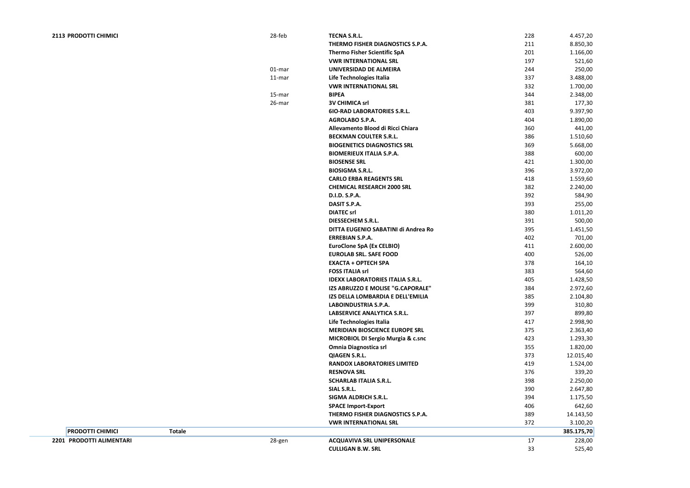**2201 PRODOTTI ALIMENTARI** 28-gen **ACQUAVIVA SRL UNIPERSONALE** 17 228,00 **CULLIGAN B.W. SRL** 

| 228 | 4.457,20   |
|-----|------------|
| 211 | 8.850,30   |
| 201 | 1.166,00   |
| 197 | 521,60     |
| 244 | 250,00     |
| 337 | 3.488,00   |
| 332 | 1.700,00   |
| 344 | 2.348,00   |
| 381 | 177,30     |
| 403 | 9.397,90   |
| 404 | 1.890,00   |
| 360 | 441,00     |
| 386 | 1.510,60   |
| 369 | 5.668,00   |
| 388 | 600,00     |
| 421 | 1.300,00   |
| 396 | 3.972,00   |
| 418 | 1.559,60   |
| 382 | 2.240,00   |
| 392 | 584,90     |
| 393 | 255,00     |
| 380 | 1.011,20   |
| 391 | 500,00     |
| 395 | 1.451,50   |
| 402 | 701,00     |
| 411 | 2.600,00   |
| 400 | 526,00     |
| 378 | 164,10     |
| 383 | 564,60     |
| 405 | 1.428,50   |
| 384 | 2.972,60   |
| 385 | 2.104,80   |
| 399 | 310,80     |
| 397 | 899,80     |
| 417 | 2.998,90   |
| 375 | 2.363,40   |
| 423 | 1.293,30   |
| 355 | 1.820,00   |
| 373 | 12.015,40  |
| 419 | 1.524,00   |
| 376 | 339,20     |
| 398 | 2.250,00   |
| 390 | 2.647,80   |
| 394 | 1.175,50   |
| 406 | 642,60     |
| 389 | 14.143,50  |
| 372 | 3.100,20   |
|     | 385.175,70 |
| 17  | 228,00     |
| 33  | 525,40     |
|     |            |

| <b>PRODOTTI CHIMICI</b> |               | 28-feb | <b>TECNA S.R.L.</b>                           | 228 | 4.457,20   |
|-------------------------|---------------|--------|-----------------------------------------------|-----|------------|
|                         |               |        | THERMO FISHER DIAGNOSTICS S.P.A.              | 211 | 8.850,30   |
|                         |               |        | <b>Thermo Fisher Scientific SpA</b>           | 201 | 1.166,00   |
|                         |               |        | <b>VWR INTERNATIONAL SRL</b>                  | 197 | 521,60     |
|                         |               | 01-mar | UNIVERSIDAD DE ALMEIRA                        | 244 | 250,00     |
|                         |               | 11-mar | Life Technologies Italia                      | 337 | 3.488,00   |
|                         |               |        | <b>VWR INTERNATIONAL SRL</b>                  | 332 | 1.700,00   |
|                         |               | 15-mar | <b>BIPEA</b>                                  | 344 | 2.348,00   |
|                         |               | 26-mar | <b>3V CHIMICA srl</b>                         | 381 | 177,30     |
|                         |               |        | <b>6IO-RAD LABORATORIES S.R.L.</b>            | 403 | 9.397,90   |
|                         |               |        | <b>AGROLABO S.P.A.</b>                        | 404 | 1.890,00   |
|                         |               |        | Allevamento Blood di Ricci Chiara             | 360 | 441,00     |
|                         |               |        | <b>BECKMAN COULTER S.R.L.</b>                 | 386 | 1.510,60   |
|                         |               |        | <b>BIOGENETICS DIAGNOSTICS SRL</b>            | 369 | 5.668,00   |
|                         |               |        | <b>BIOMERIEUX ITALIA S.P.A.</b>               | 388 | 600,00     |
|                         |               |        | <b>BIOSENSE SRL</b>                           | 421 | 1.300,00   |
|                         |               |        | <b>BIOSIGMA S.R.L.</b>                        | 396 | 3.972,00   |
|                         |               |        | <b>CARLO ERBA REAGENTS SRL</b>                | 418 | 1.559,60   |
|                         |               |        | <b>CHEMICAL RESEARCH 2000 SRL</b>             | 382 | 2.240,00   |
|                         |               |        | D.I.D. S.P.A.                                 | 392 | 584,90     |
|                         |               |        | DASIT S.P.A.                                  | 393 | 255,00     |
|                         |               |        | <b>DIATEC srl</b>                             | 380 | 1.011,20   |
|                         |               |        | <b>DIESSECHEM S.R.L.</b>                      | 391 | 500,00     |
|                         |               |        | DITTA EUGENIO SABATINI di Andrea Ro           | 395 | 1.451,50   |
|                         |               |        | <b>ERREBIAN S.P.A.</b>                        | 402 | 701,00     |
|                         |               |        | <b>EuroClone SpA (Ex CELBIO)</b>              | 411 | 2.600,00   |
|                         |               |        | <b>EUROLAB SRL. SAFE FOOD</b>                 | 400 | 526,00     |
|                         |               |        | <b>EXACTA + OPTECH SPA</b>                    | 378 | 164,10     |
|                         |               |        | <b>FOSS ITALIA srl</b>                        | 383 | 564,60     |
|                         |               |        | <b>IDEXX LABORATORIES ITALIA S.R.L.</b>       | 405 | 1.428,50   |
|                         |               |        | IZS ABRUZZO E MOLISE "G.CAPORALE"             | 384 | 2.972,60   |
|                         |               |        | IZS DELLA LOMBARDIA E DELL'EMILIA             | 385 | 2.104,80   |
|                         |               |        | LABOINDUSTRIA S.P.A.                          | 399 | 310,80     |
|                         |               |        | <b>LABSERVICE ANALYTICA S.R.L.</b>            | 397 | 899,80     |
|                         |               |        | Life Technologies Italia                      | 417 | 2.998,90   |
|                         |               |        | <b>MERIDIAN BIOSCIENCE EUROPE SRL</b>         | 375 | 2.363,40   |
|                         |               |        | <b>MICROBIOL DI Sergio Murgia &amp; c.snc</b> | 423 | 1.293,30   |
|                         |               |        | <b>Omnia Diagnostica srl</b>                  | 355 | 1.820,00   |
|                         |               |        | <b>QIAGEN S.R.L.</b>                          | 373 | 12.015,40  |
|                         |               |        | <b>RANDOX LABORATORIES LIMITED</b>            | 419 | 1.524,00   |
|                         |               |        | <b>RESNOVA SRL</b>                            | 376 | 339,20     |
|                         |               |        | <b>SCHARLAB ITALIA S.R.L.</b>                 | 398 | 2.250,00   |
|                         |               |        | SIAL S.R.L.                                   | 390 | 2.647,80   |
|                         |               |        | SIGMA ALDRICH S.R.L.                          | 394 | 1.175,50   |
|                         |               |        | <b>SPACE Import-Export</b>                    | 406 | 642,60     |
|                         |               |        | THERMO FISHER DIAGNOSTICS S.P.A.              | 389 | 14.143,50  |
|                         |               |        | <b>VWR INTERNATIONAL SRL</b>                  | 372 | 3.100,20   |
| <b>PRODOTTI CHIMICI</b> | <b>Totale</b> |        |                                               |     | 385.175,70 |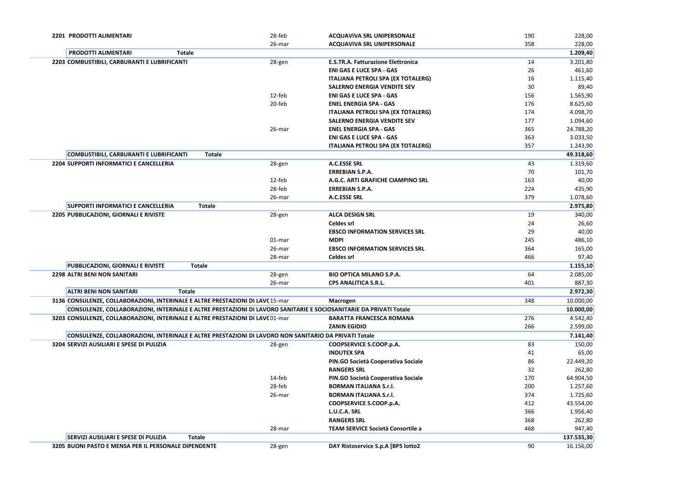| 2201 PRODOTTI ALIMENTARI                                                                                          | 28-feb | <b>ACQUAVIVA SRL UNIPERSONALE</b>         | 190 | 228,00     |
|-------------------------------------------------------------------------------------------------------------------|--------|-------------------------------------------|-----|------------|
|                                                                                                                   | 26-mar | <b>ACQUAVIVA SRL UNIPERSONALE</b>         | 358 | 228,00     |
| <b>PRODOTTI ALIMENTARI</b><br><b>Totale</b>                                                                       |        |                                           |     | 1.209,40   |
| 2203 COMBUSTIBILI, CARBURANTI E LUBRIFICANTI                                                                      | 28-gen | <b>E.S.TR.A. Fatturazione Elettronica</b> | 14  | 3.201,80   |
|                                                                                                                   |        | <b>ENI GAS E LUCE SPA - GAS</b>           | 26  | 461,60     |
|                                                                                                                   |        | <b>ITALIANA PETROLI SPA (EX TOTALERG)</b> | 16  | 1.115,40   |
|                                                                                                                   |        | <b>SALERNO ENERGIA VENDITE SEV</b>        | 30  | 89,40      |
|                                                                                                                   | 12-feb | <b>ENI GAS E LUCE SPA - GAS</b>           | 156 | 1.565,90   |
|                                                                                                                   | 20-feb | <b>ENEL ENERGIA SPA - GAS</b>             | 176 | 8.625,60   |
|                                                                                                                   |        | <b>ITALIANA PETROLI SPA (EX TOTALERG)</b> | 174 | 4.098,70   |
|                                                                                                                   |        | <b>SALERNO ENERGIA VENDITE SEV</b>        | 177 | 1.094,60   |
|                                                                                                                   | 26-mar | <b>ENEL ENERGIA SPA - GAS</b>             | 365 | 24.788,20  |
|                                                                                                                   |        | <b>ENI GAS E LUCE SPA - GAS</b>           | 363 | 3.033,50   |
|                                                                                                                   |        | <b>ITALIANA PETROLI SPA (EX TOTALERG)</b> | 357 | 1.243,90   |
| <b>COMBUSTIBILI, CARBURANTI E LUBRIFICANTI</b><br><b>Totale</b>                                                   |        |                                           |     | 49.318,60  |
| 2204 SUPPORTI INFORMATICI E CANCELLERIA                                                                           | 28-gen | <b>A.C.ESSE SRL</b>                       | 43  | 1.319,60   |
|                                                                                                                   |        | <b>ERREBIAN S.P.A.</b>                    | 70  | 101,70     |
|                                                                                                                   | 12-feb | A.G.C. ARTI GRAFICHE CIAMPINO SRL         | 163 | 40,00      |
|                                                                                                                   | 28-feb | <b>ERREBIAN S.P.A.</b>                    | 224 | 435,90     |
|                                                                                                                   | 26-mar | <b>A.C.ESSE SRL</b>                       | 379 | 1.078,60   |
| <b>SUPPORTI INFORMATICI E CANCELLERIA</b><br><b>Totale</b>                                                        |        |                                           |     | 2.975,80   |
| 2205 PUBBLICAZIONI, GIORNALI E RIVISTE                                                                            | 28-gen | <b>ALCA DESIGN SRL</b>                    | 19  | 340,00     |
|                                                                                                                   |        | <b>Celdes srl</b>                         | 24  | 26,60      |
|                                                                                                                   |        | <b>EBSCO INFORMATION SERVICES SRL</b>     | 29  | 40,00      |
|                                                                                                                   | 01-mar | <b>MDPI</b>                               | 245 | 486,10     |
|                                                                                                                   | 26-mar | <b>EBSCO INFORMATION SERVICES SRL</b>     | 364 | 165,00     |
|                                                                                                                   | 28-mar | <b>Celdes srl</b>                         | 466 | 97,40      |
| PUBBLICAZIONI, GIORNALI E RIVISTE<br><b>Totale</b>                                                                |        |                                           |     | 1.155,10   |
| <b>2298 ALTRI BENI NON SANITARI</b>                                                                               | 28-gen | <b>BIO OPTICA MILANO S.P.A.</b>           | 64  | 2.085,00   |
|                                                                                                                   | 26-mar | <b>CPS ANALITICA S.R.L.</b>               | 401 | 887,30     |
| <b>ALTRI BENI NON SANITARI</b><br>Totale                                                                          |        |                                           |     | 2.972,30   |
| 3136 CONSULENZE, COLLABORAZIONI, INTERINALE E ALTRE PRESTAZIONI DI LAV(15-mar                                     |        | <b>Macrogen</b>                           | 348 | 10.000,00  |
| CONSULENZE, COLLABORAZIONI, INTERINALE E ALTRE PRESTAZIONI DI LAVORO SANITARIE E SOCIOSANITARIE DA PRIVATI Totale |        |                                           |     | 10.000,00  |
| 3203 CONSULENZE, COLLABORAZIONI, INTERINALE E ALTRE PRESTAZIONI DI LAVC 01-mar                                    |        | <b>BARATTA FRANCESCA ROMANA</b>           | 276 | 4.542,40   |
|                                                                                                                   |        | <b>ZANIN EGIDIO</b>                       | 266 | 2.599,00   |
| CONSULENZE, COLLABORAZIONI, INTERINALE E ALTRE PRESTAZIONI DI LAVORO NON SANITARIO DA PRIVATI Totale              |        |                                           |     | 7.141,40   |
| 3204 SERVIZI AUSILIARI E SPESE DI PULIZIA                                                                         | 28-gen | COOPSERVICE S.COOP.p.A.                   | 83  | 150,00     |
|                                                                                                                   |        | <b>INDUTEX SPA</b>                        | 41  | 65,00      |
|                                                                                                                   |        | PIN.GO Società Cooperativa Sociale        | 86  | 22.449,20  |
|                                                                                                                   |        | <b>RANGERS SRL</b>                        | 32  | 262,80     |
|                                                                                                                   | 14-feb | PIN.GO Società Cooperativa Sociale        | 170 | 64.904,50  |
|                                                                                                                   | 28-feb | <b>BORMAN ITALIANA S.r.l.</b>             | 200 | 1.257,60   |
|                                                                                                                   | 26-mar | <b>BORMAN ITALIANA S.r.l.</b>             | 374 | 1.725,60   |
|                                                                                                                   |        | COOPSERVICE S.COOP.p.A.                   | 412 | 43.554,00  |
|                                                                                                                   |        | L.U.C.A. SRL                              | 366 | 1.956,40   |
|                                                                                                                   |        | <b>RANGERS SRL</b>                        | 368 | 262,80     |
|                                                                                                                   | 28-mar | <b>TEAM SERVICE Società Consortile a</b>  | 468 | 947,40     |
| SERVIZI AUSILIARI E SPESE DI PULIZIA<br><b>Totale</b>                                                             |        |                                           |     | 137.535,30 |
| 3205 BUONI PASTO E MENSA PER IL PERSONALE DIPENDENTE                                                              | 28-gen | DAY Ristoservice S.p.A [BP5 lotto2        | 90  | 16.156,00  |
|                                                                                                                   |        |                                           |     |            |

| 190        | 228,00                |
|------------|-----------------------|
| 358        | 228,00                |
|            | 1.209,40              |
| 14         | 3.201,80              |
| 26         | 461,60                |
| 16         | 1.115,40              |
| 30         | 89,40                 |
| 156        | 1.565,90              |
| 176        | 8.625,60              |
| 174        | 4.098,70              |
| 177        | 1.094,60              |
| 365        | 24.788,20             |
| 363        | 3.033,50              |
| 357        | 1.243,90              |
|            | 49.318,60             |
| 43         | 1.319,60              |
| 70         | 101,70                |
| 163        | 40,00                 |
| 224        | 435,90                |
| 379        | 1.078,60              |
|            | 2.975,80              |
| 19         | 340,00                |
| 24         | 26,60                 |
| 29         | 40,00                 |
| 245        | 486,10                |
| 364<br>466 | 165,00                |
|            | 97,40<br>1.155,10     |
| 64         |                       |
| 401        | 2.085,00<br>887,30    |
|            |                       |
| 348        | 2.972,30<br>10.000,00 |
|            | 10.000,00             |
| 276        | 4.542,40              |
| 266        | 2.599,00              |
|            | 7.141,40              |
| 83         | 150,00                |
| 41         | 65,00                 |
| 86         | 22.449,20             |
| 32         | 262,80                |
| 170        | 64.904,50             |
| 200        | 1.257,60              |
| 374        | 1.725,60              |
| 412        | 43.554,00             |
| 366        | 1.956,40              |
| 368        | 262,80                |
| 468        |                       |
|            | 947,40                |
|            | 137.535,30            |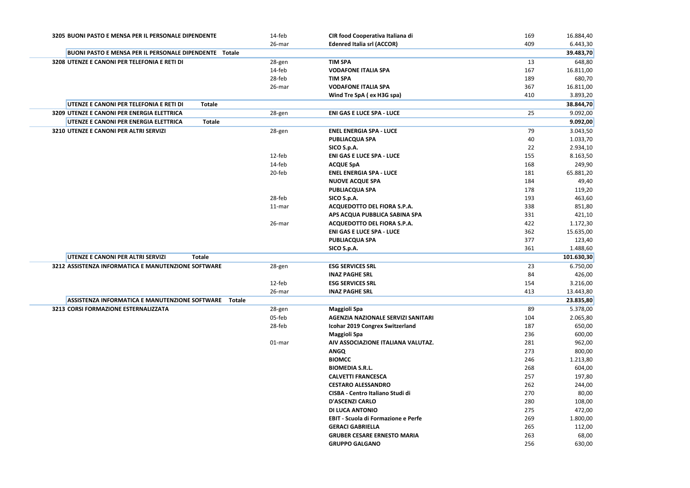| 3205 BUONI PASTO E MENSA PER IL PERSONALE DIPENDENTE     | 14-feb | CIR food Cooperativa Italiana di                            | 169        | 16.884,40       |
|----------------------------------------------------------|--------|-------------------------------------------------------------|------------|-----------------|
|                                                          | 26-mar | <b>Edenred Italia srl (ACCOR)</b>                           | 409        | 6.443,30        |
| BUONI PASTO E MENSA PER IL PERSONALE DIPENDENTE Totale   |        |                                                             |            | 39.483,70       |
| 3208 UTENZE E CANONI PER TELEFONIA E RETI DI             | 28-gen | <b>TIM SPA</b>                                              | 13         | 648,80          |
|                                                          | 14-feb | <b>VODAFONE ITALIA SPA</b>                                  | 167        | 16.811,00       |
|                                                          | 28-feb | <b>TIM SPA</b>                                              | 189        | 680,70          |
|                                                          | 26-mar | <b>VODAFONE ITALIA SPA</b>                                  | 367        | 16.811,00       |
|                                                          |        | Wind Tre SpA (ex H3G spa)                                   | 410        | 3.893,20        |
| UTENZE E CANONI PER TELEFONIA E RETI DI<br><b>Totale</b> |        |                                                             |            | 38.844,70       |
| 3209 UTENZE E CANONI PER ENERGIA ELETTRICA               | 28-gen | <b>ENI GAS E LUCE SPA - LUCE</b>                            | 25         | 9.092,00        |
| UTENZE E CANONI PER ENERGIA ELETTRICA<br><b>Totale</b>   |        |                                                             |            | 9.092,00        |
| 3210 UTENZE E CANONI PER ALTRI SERVIZI                   | 28-gen | <b>ENEL ENERGIA SPA - LUCE</b>                              | 79         | 3.043,50        |
|                                                          |        | <b>PUBLIACQUA SPA</b>                                       | 40         | 1.033,70        |
|                                                          |        | SICO S.p.A.                                                 | 22         | 2.934,10        |
|                                                          | 12-feb | <b>ENI GAS E LUCE SPA - LUCE</b>                            | 155        | 8.163,50        |
|                                                          | 14-feb | <b>ACQUE SpA</b>                                            | 168        | 249,90          |
|                                                          | 20-feb | <b>ENEL ENERGIA SPA - LUCE</b>                              | 181        | 65.881,20       |
|                                                          |        | <b>NUOVE ACQUE SPA</b>                                      | 184        | 49,40           |
|                                                          |        | <b>PUBLIACQUA SPA</b>                                       | 178        | 119,20          |
|                                                          | 28-feb | SICO S.p.A.                                                 | 193        | 463,60          |
|                                                          | 11-mar | ACQUEDOTTO DEL FIORA S.P.A.                                 | 338        | 851,80          |
|                                                          |        | APS ACQUA PUBBLICA SABINA SPA                               | 331        | 421,10          |
|                                                          | 26-mar | ACQUEDOTTO DEL FIORA S.P.A.                                 | 422        | 1.172,30        |
|                                                          |        | <b>ENI GAS E LUCE SPA - LUCE</b>                            | 362        | 15.635,00       |
|                                                          |        | <b>PUBLIACQUA SPA</b>                                       | 377        | 123,40          |
|                                                          |        | SICO S.p.A.                                                 | 361        | 1.488,60        |
| UTENZE E CANONI PER ALTRI SERVIZI<br><b>Totale</b>       |        |                                                             |            | 101.630,30      |
| 3212 ASSISTENZA INFORMATICA E MANUTENZIONE SOFTWARE      | 28-gen | <b>ESG SERVICES SRL</b>                                     | 23         | 6.750,00        |
|                                                          |        | <b>INAZ PAGHE SRL</b>                                       | 84         | 426,00          |
|                                                          | 12-feb | <b>ESG SERVICES SRL</b>                                     | 154        | 3.216,00        |
|                                                          | 26-mar | <b>INAZ PAGHE SRL</b>                                       | 413        | 13.443,80       |
| ASSISTENZA INFORMATICA E MANUTENZIONE SOFTWARE Totale    |        |                                                             |            | 23.835,80       |
| 3213 CORSI FORMAZIONE ESTERNALIZZATA                     | 28-gen | <b>Maggioli Spa</b>                                         | 89         | 5.378,00        |
|                                                          | 05-feb | AGENZIA NAZIONALE SERVIZI SANITARI                          | 104        | 2.065,80        |
|                                                          | 28-feb | <b>Icohar 2019 Congrex Switzerland</b>                      | 187        | 650,00          |
|                                                          |        | <b>Maggioli Spa</b>                                         | 236        | 600,00          |
|                                                          | 01-mar | AIV ASSOCIAZIONE ITALIANA VALUTAZ.                          | 281        | 962,00          |
|                                                          |        | <b>ANGQ</b>                                                 | 273        | 800,00          |
|                                                          |        | <b>BIOMCC</b>                                               | 246        | 1.213,80        |
|                                                          |        | <b>BIOMEDIA S.R.L.</b>                                      | 268        | 604,00          |
|                                                          |        | <b>CALVETTI FRANCESCA</b>                                   | 257        | 197,80          |
|                                                          |        | <b>CESTARO ALESSANDRO</b>                                   | 262        | 244,00          |
|                                                          |        | <b>CISBA - Centro Italiano Studi di</b>                     | 270        | 80,00           |
|                                                          |        | <b>D'ASCENZI CARLO</b>                                      | 280        | 108,00          |
|                                                          |        | <b>DI LUCA ANTONIO</b>                                      | 275        | 472,00          |
|                                                          |        | <b>EBIT - Scuola di Formazione e Perfe</b>                  | 269        | 1.800,00        |
|                                                          |        | <b>GERACI GABRIELLA</b>                                     | 265        | 112,00          |
|                                                          |        |                                                             |            |                 |
|                                                          |        |                                                             |            |                 |
|                                                          |        | <b>GRUBER CESARE ERNESTO MARIA</b><br><b>GRUPPO GALGANO</b> | 263<br>256 | 68,00<br>630,00 |

| 409<br>6.443,30<br>39.483,70<br>648,80<br>13<br>167<br>16.811,00<br>680,70<br>189<br>367<br>16.811,00<br>3.893,20<br>410<br>38.844,70<br>25<br>9.092,00<br>9.092,00<br>3.043,50<br>79<br>1.033,70<br>40<br>2.934,10<br>22<br>155<br>8.163,50<br>168<br>249,90<br>65.881,20<br>181<br>184<br>49,40<br>119,20<br>178<br>463,60<br>193<br>338<br>851,80<br>421,10<br>331<br>422<br>1.172,30<br>362<br>15.635,00<br>377<br>123,40<br>361<br>1.488,60<br>101.630,30<br>23<br>6.750,00 |
|----------------------------------------------------------------------------------------------------------------------------------------------------------------------------------------------------------------------------------------------------------------------------------------------------------------------------------------------------------------------------------------------------------------------------------------------------------------------------------|
|                                                                                                                                                                                                                                                                                                                                                                                                                                                                                  |
|                                                                                                                                                                                                                                                                                                                                                                                                                                                                                  |
|                                                                                                                                                                                                                                                                                                                                                                                                                                                                                  |
|                                                                                                                                                                                                                                                                                                                                                                                                                                                                                  |
|                                                                                                                                                                                                                                                                                                                                                                                                                                                                                  |
|                                                                                                                                                                                                                                                                                                                                                                                                                                                                                  |
|                                                                                                                                                                                                                                                                                                                                                                                                                                                                                  |
|                                                                                                                                                                                                                                                                                                                                                                                                                                                                                  |
|                                                                                                                                                                                                                                                                                                                                                                                                                                                                                  |
|                                                                                                                                                                                                                                                                                                                                                                                                                                                                                  |
|                                                                                                                                                                                                                                                                                                                                                                                                                                                                                  |
|                                                                                                                                                                                                                                                                                                                                                                                                                                                                                  |
|                                                                                                                                                                                                                                                                                                                                                                                                                                                                                  |
|                                                                                                                                                                                                                                                                                                                                                                                                                                                                                  |
|                                                                                                                                                                                                                                                                                                                                                                                                                                                                                  |
|                                                                                                                                                                                                                                                                                                                                                                                                                                                                                  |
|                                                                                                                                                                                                                                                                                                                                                                                                                                                                                  |
|                                                                                                                                                                                                                                                                                                                                                                                                                                                                                  |
|                                                                                                                                                                                                                                                                                                                                                                                                                                                                                  |
|                                                                                                                                                                                                                                                                                                                                                                                                                                                                                  |
|                                                                                                                                                                                                                                                                                                                                                                                                                                                                                  |
|                                                                                                                                                                                                                                                                                                                                                                                                                                                                                  |
|                                                                                                                                                                                                                                                                                                                                                                                                                                                                                  |
|                                                                                                                                                                                                                                                                                                                                                                                                                                                                                  |
|                                                                                                                                                                                                                                                                                                                                                                                                                                                                                  |
|                                                                                                                                                                                                                                                                                                                                                                                                                                                                                  |
| 84<br>426,00                                                                                                                                                                                                                                                                                                                                                                                                                                                                     |
| 154<br>3.216,00                                                                                                                                                                                                                                                                                                                                                                                                                                                                  |
| 13.443,80<br>413                                                                                                                                                                                                                                                                                                                                                                                                                                                                 |
| 23.835,80                                                                                                                                                                                                                                                                                                                                                                                                                                                                        |
| 5.378,00<br>89                                                                                                                                                                                                                                                                                                                                                                                                                                                                   |
| 104<br>2.065,80                                                                                                                                                                                                                                                                                                                                                                                                                                                                  |
|                                                                                                                                                                                                                                                                                                                                                                                                                                                                                  |
|                                                                                                                                                                                                                                                                                                                                                                                                                                                                                  |
| 187<br>650,00                                                                                                                                                                                                                                                                                                                                                                                                                                                                    |
| 236<br>600,00                                                                                                                                                                                                                                                                                                                                                                                                                                                                    |
| 281<br>962,00                                                                                                                                                                                                                                                                                                                                                                                                                                                                    |
| 273<br>800,00                                                                                                                                                                                                                                                                                                                                                                                                                                                                    |
| 246<br>1.213,80                                                                                                                                                                                                                                                                                                                                                                                                                                                                  |
| 268<br>604,00                                                                                                                                                                                                                                                                                                                                                                                                                                                                    |
| 257<br>197,80                                                                                                                                                                                                                                                                                                                                                                                                                                                                    |
| 262<br>244,00<br>270                                                                                                                                                                                                                                                                                                                                                                                                                                                             |
| 80,00<br>280                                                                                                                                                                                                                                                                                                                                                                                                                                                                     |
| 108,00<br>275<br>472,00                                                                                                                                                                                                                                                                                                                                                                                                                                                          |
| 269<br>1.800,00                                                                                                                                                                                                                                                                                                                                                                                                                                                                  |
| 265<br>112,00                                                                                                                                                                                                                                                                                                                                                                                                                                                                    |
| 263<br>68,00                                                                                                                                                                                                                                                                                                                                                                                                                                                                     |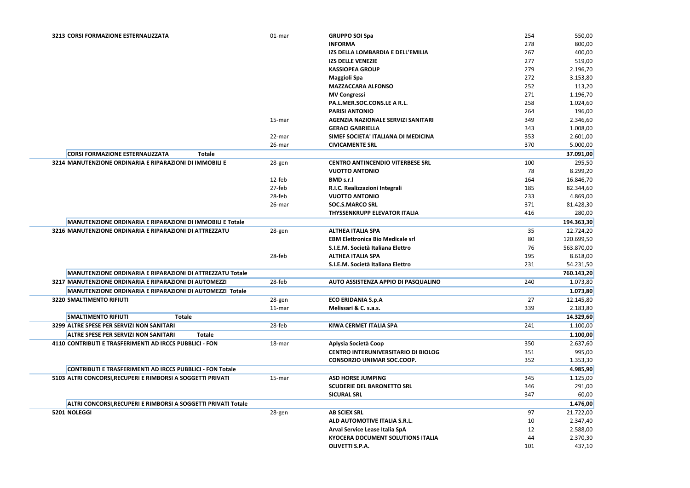| 3213 CORSI FORMAZIONE ESTERNALIZZATA                             | 01-mar | <b>GRUPPO SOI Spa</b>                      | 254 | 550,00     |
|------------------------------------------------------------------|--------|--------------------------------------------|-----|------------|
|                                                                  |        | <b>INFORMA</b>                             | 278 | 800,00     |
|                                                                  |        | IZS DELLA LOMBARDIA E DELL'EMILIA          | 267 | 400,00     |
|                                                                  |        | <b>IZS DELLE VENEZIE</b>                   | 277 | 519,00     |
|                                                                  |        | <b>KASSIOPEA GROUP</b>                     | 279 | 2.196,70   |
|                                                                  |        | <b>Maggioli Spa</b>                        | 272 | 3.153,80   |
|                                                                  |        | <b>MAZZACCARA ALFONSO</b>                  | 252 | 113,20     |
|                                                                  |        | <b>MV Congressi</b>                        | 271 | 1.196,70   |
|                                                                  |        | PA.L.MER.SOC.CONS.LE A R.L.                | 258 | 1.024,60   |
|                                                                  |        | <b>PARISI ANTONIO</b>                      | 264 | 196,00     |
|                                                                  | 15-mar | <b>AGENZIA NAZIONALE SERVIZI SANITARI</b>  | 349 | 2.346,60   |
|                                                                  |        | <b>GERACI GABRIELLA</b>                    | 343 | 1.008,00   |
|                                                                  | 22-mar | SIMEF SOCIETA' ITALIANA DI MEDICINA        | 353 | 2.601,00   |
|                                                                  | 26-mar | <b>CIVICAMENTE SRL</b>                     | 370 | 5.000,00   |
| <b>CORSI FORMAZIONE ESTERNALIZZATA</b><br><b>Totale</b>          |        |                                            |     | 37.091,00  |
| 3214 MANUTENZIONE ORDINARIA E RIPARAZIONI DI IMMOBILI E          | 28-gen | <b>CENTRO ANTINCENDIO VITERBESE SRL</b>    | 100 | 295,50     |
|                                                                  |        | <b>VUOTTO ANTONIO</b>                      | 78  | 8.299,20   |
|                                                                  | 12-feb | <b>BMD s.r.l</b>                           | 164 | 16.846,70  |
|                                                                  | 27-feb | R.I.C. Realizzazioni Integrali             | 185 | 82.344,60  |
|                                                                  | 28-feb | <b>VUOTTO ANTONIO</b>                      | 233 | 4.869,00   |
|                                                                  | 26-mar | <b>SOC.S.MARCO SRL</b>                     | 371 | 81.428,30  |
|                                                                  |        | <b>THYSSENKRUPP ELEVATOR ITALIA</b>        | 416 | 280,00     |
| MANUTENZIONE ORDINARIA E RIPARAZIONI DI IMMOBILI E Totale        |        |                                            |     | 194.363,30 |
| 3216 MANUTENZIONE ORDINARIA E RIPARAZIONI DI ATTREZZATU          | 28-gen | <b>ALTHEA ITALIA SPA</b>                   | 35  | 12.724,20  |
|                                                                  |        | <b>EBM Elettronica Bio Medicale srl</b>    | 80  | 120.699,50 |
|                                                                  |        | S.I.E.M. Società Italiana Elettro          | 76  | 563.870,00 |
|                                                                  | 28-feb | <b>ALTHEA ITALIA SPA</b>                   | 195 | 8.618,00   |
|                                                                  |        | S.I.E.M. Società Italiana Elettro          | 231 | 54.231,50  |
| MANUTENZIONE ORDINARIA E RIPARAZIONI DI ATTREZZATU Totale        |        |                                            |     | 760.143,20 |
| 3217 MANUTENZIONE ORDINARIA E RIPARAZIONI DI AUTOMEZZI           | 28-feb | AUTO ASSISTENZA APPIO DI PASQUALINO        | 240 | 1.073,80   |
| MANUTENZIONE ORDINARIA E RIPARAZIONI DI AUTOMEZZI Totale         |        |                                            |     | 1.073,80   |
| <b>3220 SMALTIMENTO RIFIUTI</b>                                  | 28-gen | <b>ECO ERIDANIA S.p.A</b>                  | 27  | 12.145,80  |
|                                                                  | 11-mar | Melissari & C. s.a.s.                      | 339 | 2.183,80   |
| <b>SMALTIMENTO RIFIUTI</b><br><b>Totale</b>                      |        |                                            |     | 14.329,60  |
| 3299 ALTRE SPESE PER SERVIZI NON SANITARI                        | 28-feb | <b>KIWA CERMET ITALIA SPA</b>              | 241 | 1.100,00   |
| <b>ALTRE SPESE PER SERVIZI NON SANITARI</b><br><b>Totale</b>     |        |                                            |     | 1.100,00   |
| 4110 CONTRIBUTI E TRASFERIMENTI AD IRCCS PUBBLICI - FON          | 18-mar | Aplysia Società Coop                       | 350 | 2.637,60   |
|                                                                  |        | <b>CENTRO INTERUNIVERSITARIO DI BIOLOG</b> | 351 | 995,00     |
|                                                                  |        | <b>CONSORZIO UNIMAR SOC.COOP.</b>          | 352 | 1.353,30   |
| <b>CONTRIBUTI E TRASFERIMENTI AD IRCCS PUBBLICI - FON Totale</b> |        |                                            |     | 4.985,90   |
| 5103 ALTRI CONCORSI, RECUPERI E RIMBORSI A SOGGETTI PRIVATI      | 15-mar | <b>ASD HORSE JUMPING</b>                   | 345 | 1.125,00   |
|                                                                  |        | <b>SCUDERIE DEL BARONETTO SRL</b>          | 346 | 291,00     |
|                                                                  |        | <b>SICURAL SRL</b>                         | 347 | 60,00      |
| ALTRI CONCORSI, RECUPERI E RIMBORSI A SOGGETTI PRIVATI Totale    |        |                                            |     | 1.476,00   |
| 5201 NOLEGGI                                                     | 28-gen | <b>AB SCIEX SRL</b>                        | 97  | 21.722,00  |
|                                                                  |        | ALD AUTOMOTIVE ITALIA S.R.L.               | 10  | 2.347,40   |
|                                                                  |        | Arval Service Lease Italia SpA             | 12  | 2.588,00   |
|                                                                  |        | <b>KYOCERA DOCUMENT SOLUTIONS ITALIA</b>   | 44  | 2.370,30   |
|                                                                  |        | <b>OLIVETTI S.P.A.</b>                     | 101 | 437,10     |
|                                                                  |        |                                            |     |            |

| 254 | 550,00     |
|-----|------------|
| 278 | 800,00     |
| 267 | 400,00     |
| 277 | 519,00     |
| 279 | 2.196,70   |
| 272 | 3.153,80   |
| 252 | 113,20     |
| 271 | 1.196,70   |
| 258 | 1.024,60   |
| 264 | 196,00     |
| 349 | 2.346,60   |
| 343 | 1.008,00   |
| 353 | 2.601,00   |
| 370 | 5.000,00   |
|     | 37.091,00  |
| 100 | 295,50     |
| 78  | 8.299,20   |
| 164 | 16.846,70  |
| 185 | 82.344,60  |
| 233 | 4.869,00   |
| 371 | 81.428,30  |
| 416 | 280,00     |
|     | 194.363,30 |
| 35  | 12.724,20  |
| 80  | 120.699,50 |
| 76  | 563.870,00 |
| 195 | 8.618,00   |
| 231 | 54.231,50  |
|     | 760.143,20 |
| 240 | 1.073,80   |
|     | 1.073,80   |
| 27  | 12.145,80  |
| 339 | 2.183,80   |
|     | 14.329,60  |
|     |            |
| 241 | 1.100,00   |
|     | 1.100,00   |
| 350 | 2.637,60   |
| 351 | 995,00     |
| 352 | 1.353,30   |
|     | 4.985,90   |
| 345 | 1.125,00   |
| 346 | 291,00     |
| 347 | 60,00      |
|     | 1.476,00   |
| 97  | 21.722,00  |
| 10  | 2.347,40   |
| 12  | 2.588,00   |
| 44  | 2.370,30   |
| 101 | 437,10     |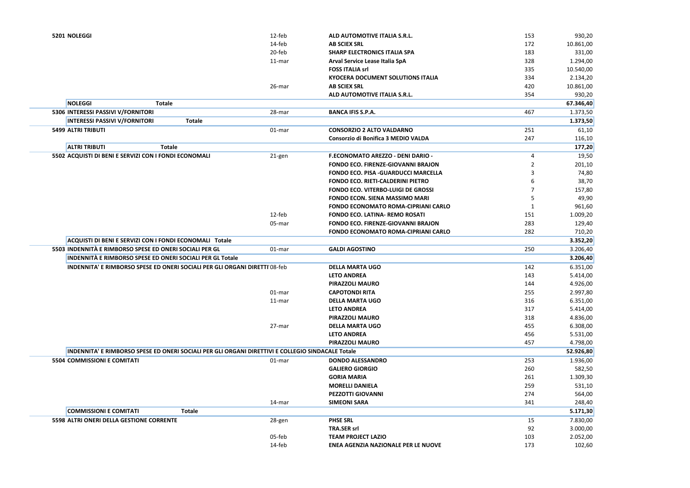| 5201 NOLEGGI                                                                                      | 12-feb | ALD AUTOMOTIVE ITALIA S.R.L.               |
|---------------------------------------------------------------------------------------------------|--------|--------------------------------------------|
|                                                                                                   | 14-feb | <b>AB SCIEX SRL</b>                        |
|                                                                                                   | 20-feb | <b>SHARP ELECTRONICS ITALIA SPA</b>        |
|                                                                                                   | 11-mar | Arval Service Lease Italia SpA             |
|                                                                                                   |        | <b>FOSS ITALIA srl</b>                     |
|                                                                                                   |        | <b>KYOCERA DOCUMENT SOLUTIONS ITALIA</b>   |
|                                                                                                   | 26-mar | <b>AB SCIEX SRL</b>                        |
|                                                                                                   |        | ALD AUTOMOTIVE ITALIA S.R.L.               |
| <b>NOLEGGI</b><br><b>Totale</b>                                                                   |        |                                            |
| 5306 INTERESSI PASSIVI V/FORNITORI                                                                | 28-mar | <b>BANCA IFIS S.P.A.</b>                   |
| <b>Totale</b>                                                                                     |        |                                            |
| <b>INTERESSI PASSIVI V/FORNITORI</b><br><b>5499 ALTRI TRIBUTI</b>                                 |        | <b>CONSORZIO 2 ALTO VALDARNO</b>           |
|                                                                                                   | 01-mar | Consorzio di Bonifica 3 MEDIO VALDA        |
|                                                                                                   |        |                                            |
| <b>ALTRI TRIBUTI</b><br><b>Totale</b>                                                             |        |                                            |
| 5502 ACQUISTI DI BENI E SERVIZI CON I FONDI ECONOMALI                                             | 21-gen | F.ECONOMATO AREZZO - DENI DARIO -          |
|                                                                                                   |        | <b>FONDO ECO. FIRENZE-GIOVANNI BRAJON</b>  |
|                                                                                                   |        | <b>FONDO ECO. PISA -GUARDUCCI MARCELLA</b> |
|                                                                                                   |        | <b>FONDO ECO. RIETI-CALDERINI PIETRO</b>   |
|                                                                                                   |        | <b>FONDO ECO. VITERBO-LUIGI DE GROSSI</b>  |
|                                                                                                   |        | <b>FONDO ECON. SIENA MASSIMO MARI</b>      |
|                                                                                                   |        | <b>FONDO ECONOMATO ROMA-CIPRIANI CARLO</b> |
|                                                                                                   | 12-feb | <b>FONDO ECO. LATINA- REMO ROSATI</b>      |
|                                                                                                   | 05-mar | <b>FONDO ECO. FIRENZE-GIOVANNI BRAJON</b>  |
|                                                                                                   |        | <b>FONDO ECONOMATO ROMA-CIPRIANI CARLO</b> |
| ACQUISTI DI BENI E SERVIZI CON I FONDI ECONOMALI Totale                                           |        |                                            |
| 5503 INDENNITÀ E RIMBORSO SPESE ED ONERI SOCIALI PER GL                                           | 01-mar | <b>GALDI AGOSTINO</b>                      |
| <b>INDENNITÀ E RIMBORSO SPESE ED ONERI SOCIALI PER GL Totale</b>                                  |        |                                            |
| <b>INDENNITA' E RIMBORSO SPESE ED ONERI SOCIALI PER GLI ORGANI DIRETTI 08-feb</b>                 |        | <b>DELLA MARTA UGO</b>                     |
|                                                                                                   |        | <b>LETO ANDREA</b>                         |
|                                                                                                   |        | PIRAZZOLI MAURO                            |
|                                                                                                   | 01-mar | <b>CAPOTONDI RITA</b>                      |
|                                                                                                   | 11-mar | <b>DELLA MARTA UGO</b>                     |
|                                                                                                   |        | <b>LETO ANDREA</b>                         |
|                                                                                                   |        | PIRAZZOLI MAURO                            |
|                                                                                                   | 27-mar | <b>DELLA MARTA UGO</b>                     |
|                                                                                                   |        | <b>LETO ANDREA</b>                         |
|                                                                                                   |        | <b>PIRAZZOLI MAURO</b>                     |
| INDENNITA' E RIMBORSO SPESE ED ONERI SOCIALI PER GLI ORGANI DIRETTIVI E COLLEGIO SINDACALE Totale |        |                                            |
| <b>5504 COMMISSIONI E COMITATI</b>                                                                | 01-mar | <b>DONDO ALESSANDRO</b>                    |
|                                                                                                   |        | <b>GALIERO GIORGIO</b>                     |
|                                                                                                   |        | <b>GORIA MARIA</b>                         |
|                                                                                                   |        | <b>MORELLI DANIELA</b>                     |
|                                                                                                   |        | PEZZOTTI GIOVANNI                          |
|                                                                                                   | 14-mar | <b>SIMEONI SARA</b>                        |
| <b>COMMISSIONI E COMITATI</b><br><b>Totale</b>                                                    |        |                                            |
| 5598 ALTRI ONERI DELLA GESTIONE CORRENTE                                                          | 28-gen | <b>PHSE SRL</b>                            |
|                                                                                                   |        | <b>TRA.SER srl</b>                         |
|                                                                                                   | 05-feb | <b>TEAM PROJECT LAZIO</b>                  |
|                                                                                                   | 14-feb | ENEA AGENZIA NAZIONALE PER LE NUOVE        |
|                                                                                                   |        |                                            |

| 153            | 930,20               |
|----------------|----------------------|
| 172            | 10.861,00            |
| 183            | 331,00               |
| 328            | 1.294,00             |
| 335            | 10.540,00            |
| 334            | 2.134,20             |
| 420            | 10.861,00            |
| 354            | 930,20               |
|                | 67.346,40            |
| 467            | 1.373,50             |
|                | 1.373,50             |
| 251            | 61,10                |
| 247            | 116,10               |
|                | 177,20               |
| 4              | 19,50                |
| $\overline{c}$ | 201,10               |
| 3              | 74,80                |
| 6              | 38,70                |
| 7              | 157,80               |
| 5              | 49,90                |
| 1              | 961,60               |
| 151            | 1.009,20             |
| 283            | 129,40               |
| 282            | 710,20               |
|                | 3.352,20             |
| 250            | 3.206,40             |
|                | 3.206,40             |
| 142            | 6.351,00             |
| 143<br>144     | 5.414,00             |
| 255            | 4.926,00<br>2.997,80 |
| 316            | 6.351,00             |
| 317            | 5.414,00             |
| 318            | 4.836,00             |
| 455            | 6.308,00             |
| 456            | 5.531,00             |
| 457            | 4.798,00             |
|                | 52.926,80            |
| 253            | 1.936,00             |
| 260            | 582,50               |
| 261            | 1.309,30             |
| 259            | 531,10               |
| 274            | 564,00               |
| 341            | 248,40               |
|                | 5.171,30             |
| 15             | 7.830,00             |
| 92             | 3.000,00             |
| 103            | 2.052,00             |
| 173            | 102,60               |
|                |                      |